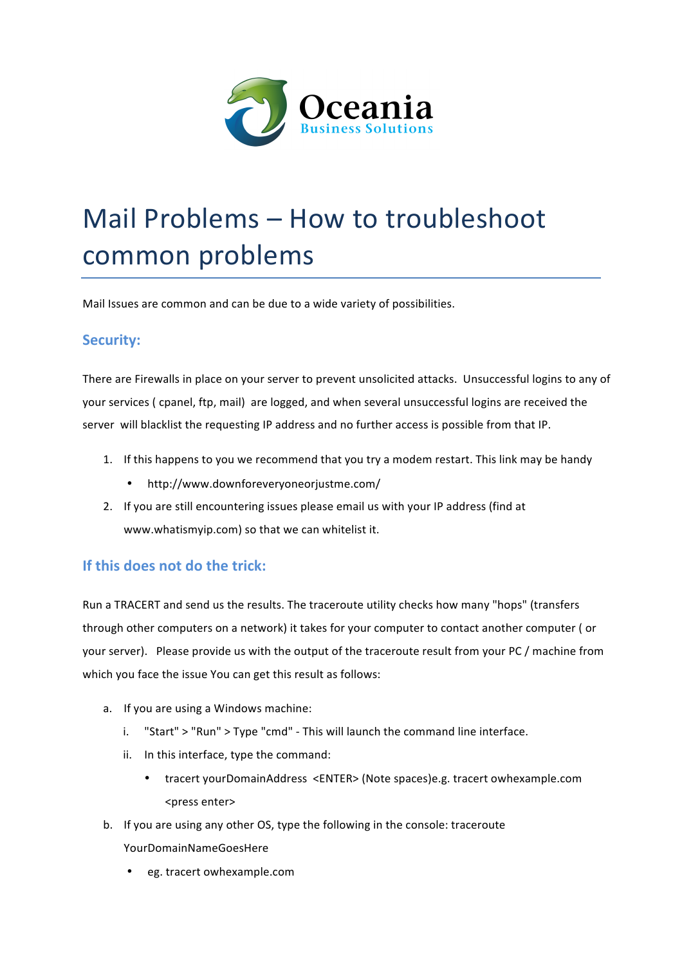

## Mail Problems - How to troubleshoot common problems

Mail Issues are common and can be due to a wide variety of possibilities.

## **Security:**

There are Firewalls in place on your server to prevent unsolicited attacks. Unsuccessful logins to any of your services ( cpanel, ftp, mail) are logged, and when several unsuccessful logins are received the server will blacklist the requesting IP address and no further access is possible from that IP.

- 1. If this happens to you we recommend that you try a modem restart. This link may be handy
	- http://www.downforeveryoneorjustme.com/
- 2. If you are still encountering issues please email us with your IP address (find at www.whatismyip.com) so that we can whitelist it.

## **If this does not do the trick:**

Run a TRACERT and send us the results. The traceroute utility checks how many "hops" (transfers through other computers on a network) it takes for your computer to contact another computer (or your server). Please provide us with the output of the traceroute result from your PC / machine from which you face the issue You can get this result as follows:

- a. If you are using a Windows machine:
	- i. "Start" > "Run" > Type "cmd" This will launch the command line interface.
	- ii. In this interface, type the command:
		- tracert yourDomainAddress <ENTER> (Note spaces)e.g. tracert owhexample.com <press enter>
- b. If you are using any other OS, type the following in the console: traceroute
	- YourDomainNameGoesHere
	- eg. tracert owhexample.com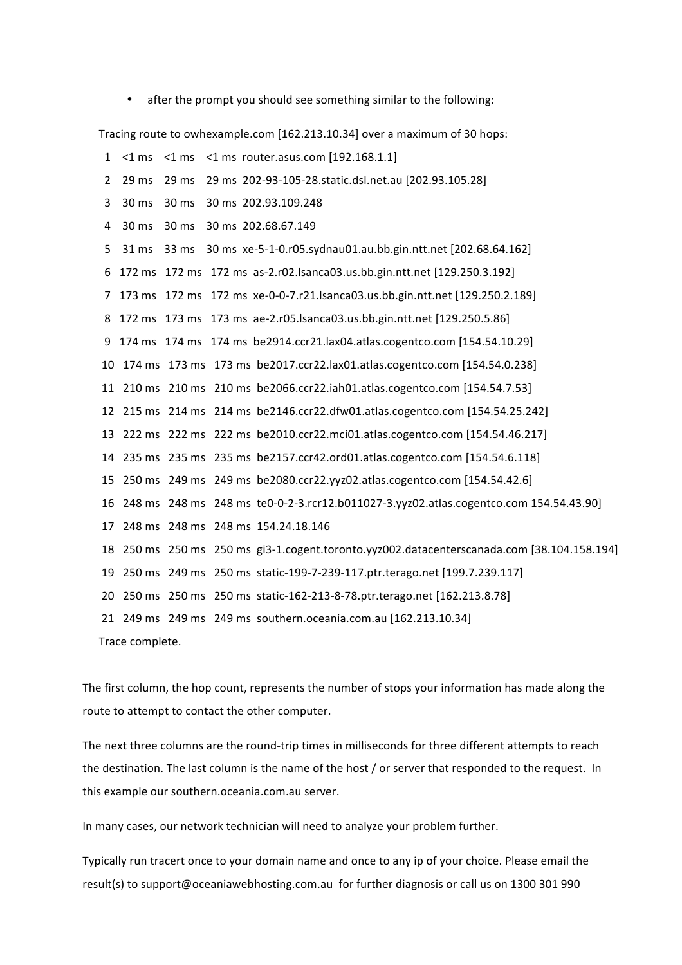after the prompt you should see something similar to the following:

Tracing route to owhexample.com [162.213.10.34] over a maximum of 30 hops:

1  $\leq$ 1 ms  $\leq$ 1 ms  $\leq$ 1 ms router.asus.com [192.168.1.1] 2 29 ms 29 ms 29 ms 202-93-105-28.static.dsl.net.au [202.93.105.28] 3 30 ms 30 ms 30 ms 202.93.109.248 4 30 ms 30 ms 30 ms 202.68.67.149 5 31 ms 33 ms 30 ms xe-5-1-0.r05.sydnau01.au.bb.gin.ntt.net [202.68.64.162] 6 172 ms 172 ms 172 ms as-2.r02.lsanca03.us.bb.gin.ntt.net [129.250.3.192] 7 173 ms 172 ms 172 ms xe-0-0-7.r21.lsanca03.us.bb.gin.ntt.net [129.250.2.189] 8 172 ms 173 ms 173 ms ae-2.r05.lsanca03.us.bb.gin.ntt.net [129.250.5.86] 9 174 ms 174 ms 174 ms be2914.ccr21.lax04.atlas.cogentco.com [154.54.10.29] 10 174 ms 173 ms 173 ms be2017.ccr22.lax01.atlas.cogentco.com [154.54.0.238] 11 210 ms 210 ms 210 ms be2066.ccr22.iah01.atlas.cogentco.com [154.54.7.53] 12 215 ms 214 ms 214 ms be2146.ccr22.dfw01.atlas.cogentco.com [154.54.25.242] 13 222 ms 222 ms 222 ms be2010.ccr22.mci01.atlas.cogentco.com [154.54.46.217] 14 235 ms 235 ms 235 ms be2157.ccr42.ord01.atlas.cogentco.com [154.54.6.118] 15 250 ms 249 ms 249 ms be2080.ccr22.yyz02.atlas.cogentco.com [154.54.42.6] 16 248 ms 248 ms 248 ms te0-0-2-3.rcr12.b011027-3.yyz02.atlas.cogentco.com 154.54.43.90] 17 248 ms 248 ms 248 ms 154.24.18.146 18 250 ms 250 ms 250 ms gi3-1.cogent.toronto.yyz002.datacenterscanada.com [38.104.158.194] 19 250 ms 249 ms 250 ms static-199-7-239-117.ptr.terago.net [199.7.239.117] 20 250 ms 250 ms 250 ms static-162-213-8-78.ptr.terago.net [162.213.8.78] 21 249 ms 249 ms 249 ms southern.oceania.com.au [162.213.10.34] Trace complete. 

The first column, the hop count, represents the number of stops your information has made along the route to attempt to contact the other computer.

The next three columns are the round-trip times in milliseconds for three different attempts to reach the destination. The last column is the name of the host / or server that responded to the request. In this example our southern.oceania.com.au server.

In many cases, our network technician will need to analyze your problem further.

Typically run tracert once to your domain name and once to any ip of your choice. Please email the result(s) to support@oceaniawebhosting.com.au for further diagnosis or call us on 1300 301 990